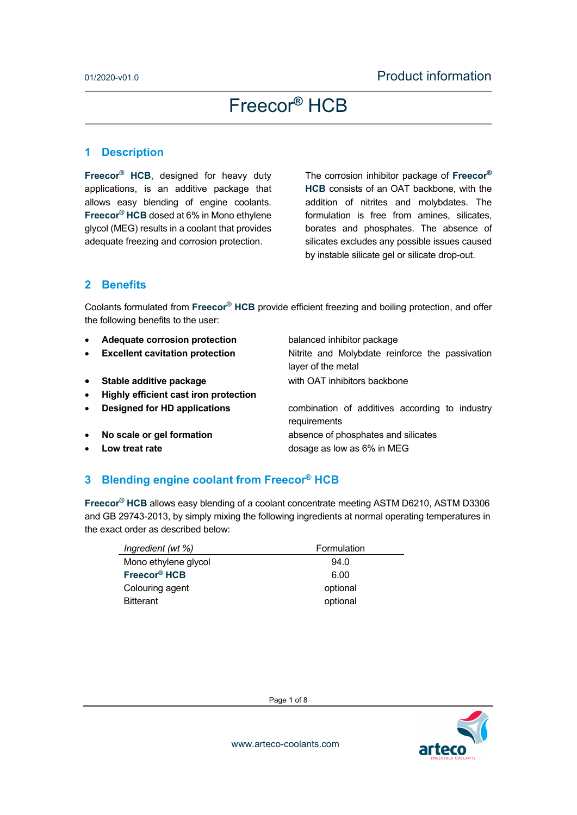#### **1 Description**

**Freecor® HCB**, designed for heavy duty applications, is an additive package that allows easy blending of engine coolants. **Freecor® HCB** dosed at 6% in Mono ethylene glycol (MEG) results in a coolant that provides adequate freezing and corrosion protection.

The corrosion inhibitor package of **Freecor® HCB** consists of an OAT backbone, with the addition of nitrites and molybdates. The formulation is free from amines, silicates, borates and phosphates. The absence of silicates excludes any possible issues caused by instable silicate gel or silicate drop-out.

#### **2 Benefits**

Coolants formulated from **Freecor® HCB** provide efficient freezing and boiling protection, and offer the following benefits to the user:

layer of the metal

requirements

- **Adequate corrosion protection** balanced inhibitor package
- **Excellent cavitation protection Nitrite and Molybdate reinforce the passivation**
- **Stable additive package <b>Stable additive package with OAT** inhibitors backbone
- **Highly efficient cast iron protection**
- **Designed for HD applications** combination of additives according to industry

**No scale or gel formation** absence of phosphates and silicates

**Low treat rate** dosage as low as 6% in MEG

### **3 Blending engine coolant from Freecor® HCB**

**Freecor® HCB** allows easy blending of a coolant concentrate meeting ASTM D6210, ASTM D3306 and GB 29743-2013, by simply mixing the following ingredients at normal operating temperatures in the exact order as described below:

| Ingredient (wt %)        | Formulation |
|--------------------------|-------------|
| Mono ethylene glycol     | 94.0        |
| Freecor <sup>®</sup> HCB | 6.00        |
| Colouring agent          | optional    |
| <b>Bitterant</b>         | optional    |

Page 1 of 8

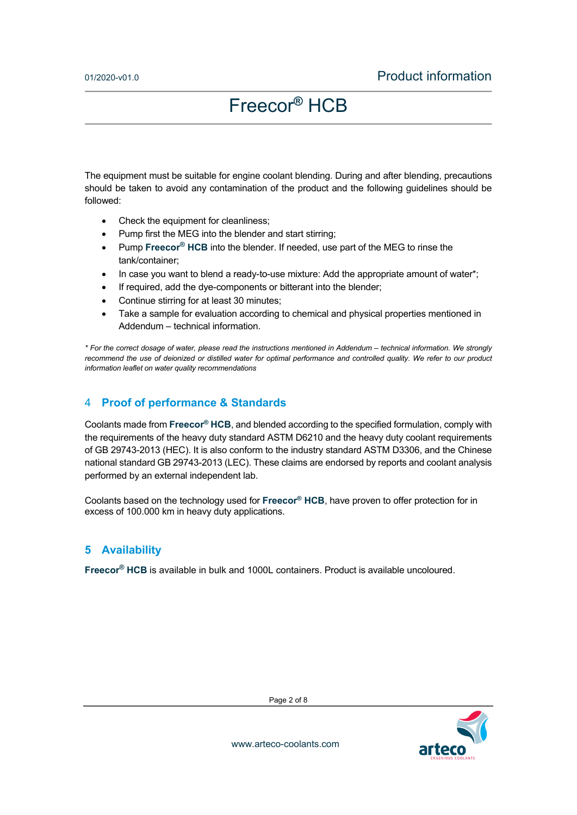The equipment must be suitable for engine coolant blending. During and after blending, precautions should be taken to avoid any contamination of the product and the following guidelines should be followed:

- Check the equipment for cleanliness;
- Pump first the MEG into the blender and start stirring;
- Pump **Freecor<sup>®</sup> HCB** into the blender. If needed, use part of the MEG to rinse the tank/container;
- $\bullet$  In case you want to blend a ready-to-use mixture: Add the appropriate amount of water\*;
- If required, add the dye-components or bitterant into the blender;
- Continue stirring for at least 30 minutes;
- Take a sample for evaluation according to chemical and physical properties mentioned in Addendum – technical information.

*\* For the correct dosage of water, please read the instructions mentioned in Addendum – technical information. We strongly*  recommend the use of deionized or distilled water for optimal performance and controlled quality. We refer to our product *information leaflet on water quality recommendations* 

#### 4 **Proof of performance & Standards**

Coolants made from **Freecor® HCB**, and blended according to the specified formulation, comply with the requirements of the heavy duty standard ASTM D6210 and the heavy duty coolant requirements of GB 29743-2013 (HEC). It is also conform to the industry standard ASTM D3306, and the Chinese national standard GB 29743-2013 (LEC). These claims are endorsed by reports and coolant analysis performed by an external independent lab.

Coolants based on the technology used for **Freecor® HCB**, have proven to offer protection for in excess of 100.000 km in heavy duty applications.

#### **5 Availability**

**Freecor® HCB** is available in bulk and 1000L containers. Product is available uncoloured.



Page 2 of 8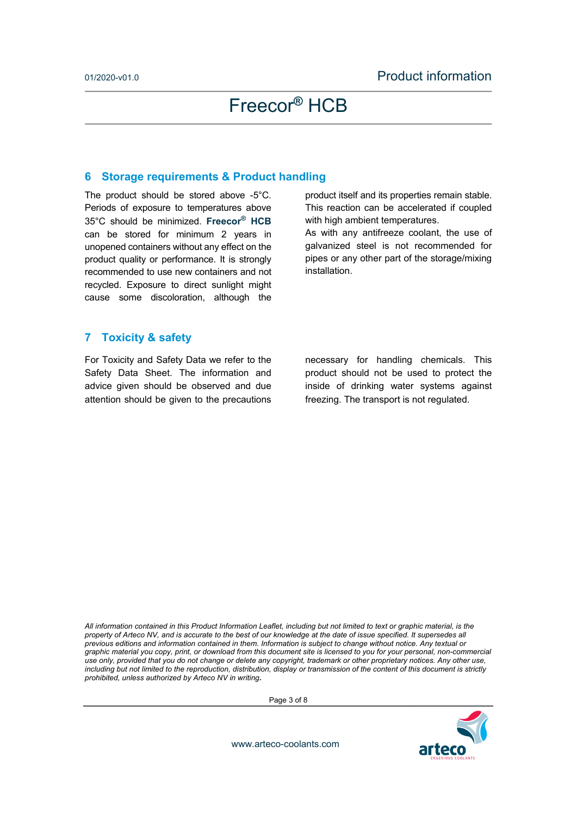#### **6 Storage requirements & Product handling**

The product should be stored above -5°C. Periods of exposure to temperatures above 35°C should be minimized. **Freecor® HCB** can be stored for minimum 2 years in unopened containers without any effect on the product quality or performance. It is strongly recommended to use new containers and not recycled. Exposure to direct sunlight might cause some discoloration, although the

product itself and its properties remain stable. This reaction can be accelerated if coupled with high ambient temperatures.

As with any antifreeze coolant, the use of galvanized steel is not recommended for pipes or any other part of the storage/mixing installation.

#### **7 Toxicity & safety**

For Toxicity and Safety Data we refer to the Safety Data Sheet. The information and advice given should be observed and due attention should be given to the precautions necessary for handling chemicals. This product should not be used to protect the inside of drinking water systems against freezing. The transport is not regulated.

*All information contained in this Product Information Leaflet, including but not limited to text or graphic material, is the property of Arteco NV, and is accurate to the best of our knowledge at the date of issue specified. It supersedes all previous editions and information contained in them. Information is subject to change without notice. Any textual or graphic material you copy, print, or download from this document site is licensed to you for your personal, non-commercial use only, provided that you do not change or delete any copyright, trademark or other proprietary notices. Any other use,*  including but not limited to the reproduction, distribution, display or transmission of the content of this document is strictly *prohibited, unless authorized by Arteco NV in writing.*

Page 3 of 8

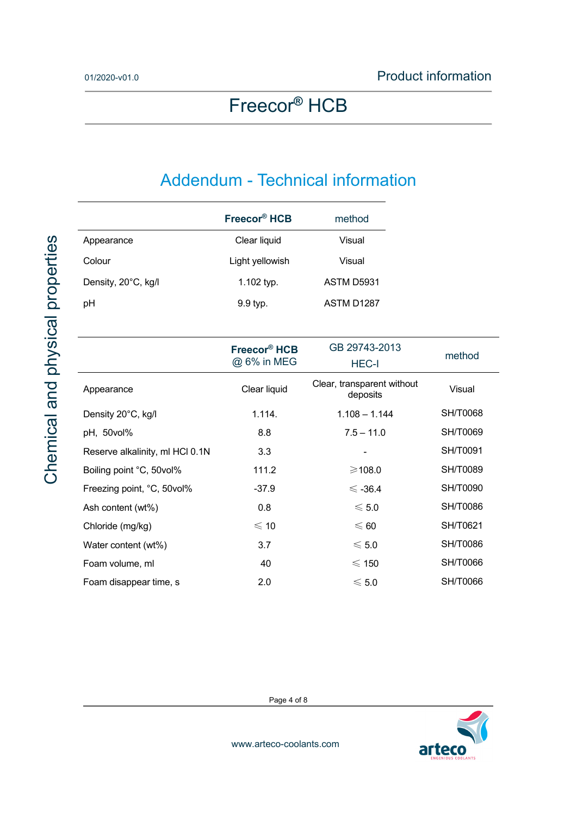## Addendum - Technical information

|                                 | Freecor <sup>®</sup> HCB                | method                                 |                 |
|---------------------------------|-----------------------------------------|----------------------------------------|-----------------|
| Appearance                      | Clear liquid                            | Visual                                 |                 |
| Colour                          | Light yellowish                         | Visual                                 |                 |
| Density, 20°C, kg/l             | 1.102 typ.                              | ASTM D5931                             |                 |
| pH                              | 9.9 typ.                                | ASTM D1287                             |                 |
|                                 |                                         |                                        |                 |
|                                 | Freecor <sup>®</sup> HCB<br>@ 6% in MEG | GB 29743-2013<br><b>HEC-I</b>          | method          |
| Appearance                      | Clear liquid                            | Clear, transparent without<br>deposits | Visual          |
| Density 20°C, kg/l              | 1.114.                                  | $1.108 - 1.144$                        | <b>SH/T0068</b> |
| pH, 50vol%                      | 8.8                                     | $7.5 - 11.0$                           | <b>SH/T0069</b> |
| Reserve alkalinity, ml HCl 0.1N | 3.3                                     |                                        | SH/T0091        |
| Boiling point °C, 50vol%        | 111.2                                   | ≥108.0                                 | <b>SH/T0089</b> |
| Freezing point, °C, 50vol%      | $-37.9$                                 | $\leq$ -36.4                           | <b>SH/T0090</b> |
| Ash content (wt%)               | 0.8                                     | $\leqslant$ 5.0                        | <b>SH/T0086</b> |
| Chloride (mg/kg)                | $\leqslant$ 10                          | $\leqslant 60$                         | SH/T0621        |
| Water content (wt%)             | 3.7                                     | $\leqslant$ 5.0                        | <b>SH/T0086</b> |
| Foam volume, ml                 | 40                                      | $\leqslant$ 150                        | <b>SH/T0066</b> |

Page 4 of 8

Foam disappear time, s  $2.0 \leq 5.0$  SH/T0066

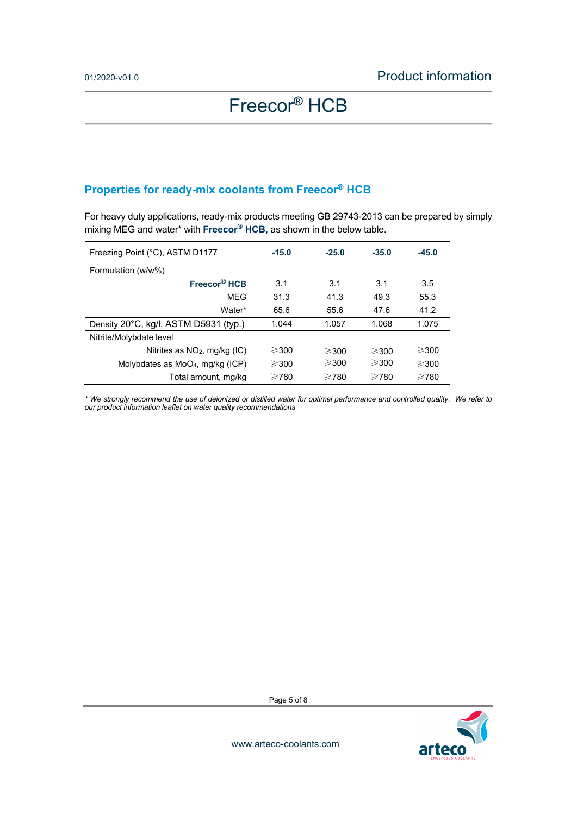## **Properties for ready-mix coolants from Freecor® HCB**

For heavy duty applications, ready-mix products meeting GB 29743-2013 can be prepared by simply mixing MEG and water\* with **Freecor® HCB,** as shown in the below table.

| Freezing Point (°C), ASTM D1177              | $-15.0$         | $-25.0$         | $-35.0$         | $-45.0$         |
|----------------------------------------------|-----------------|-----------------|-----------------|-----------------|
| Formulation (w/w%)                           |                 |                 |                 |                 |
| Freecor <sup>®</sup> HCB                     | 3.1             | 3.1             | 3.1             | 3.5             |
| MEG                                          | 31.3            | 41.3            | 49.3            | 55.3            |
| Water*                                       | 65.6            | 55.6            | 47.6            | 41.2            |
| Density 20°C, kg/l, ASTM D5931 (typ.)        | 1.044           | 1.057           | 1.068           | 1.075           |
| Nitrite/Molybdate level                      |                 |                 |                 |                 |
| Nitrites as NO <sub>2</sub> , mg/kg (IC)     | $\geqslant$ 300 | $\geqslant$ 300 | $\geqslant$ 300 | $\geqslant$ 300 |
| Molybdates as MoO <sub>4</sub> , mg/kg (ICP) | $\geqslant$ 300 | $\geqslant$ 300 | $\geqslant$ 300 | $\geqslant$ 300 |
| Total amount, mg/kg                          | $\geq 780$      | $\geqslant$ 780 | $\geq$ 780      | $\geq 780$      |

*\* We strongly recommend the use of deionized or distilled water for optimal performance and controlled quality. We refer to our product information leaflet on water quality recommendations* 

arteco

Page 5 of 8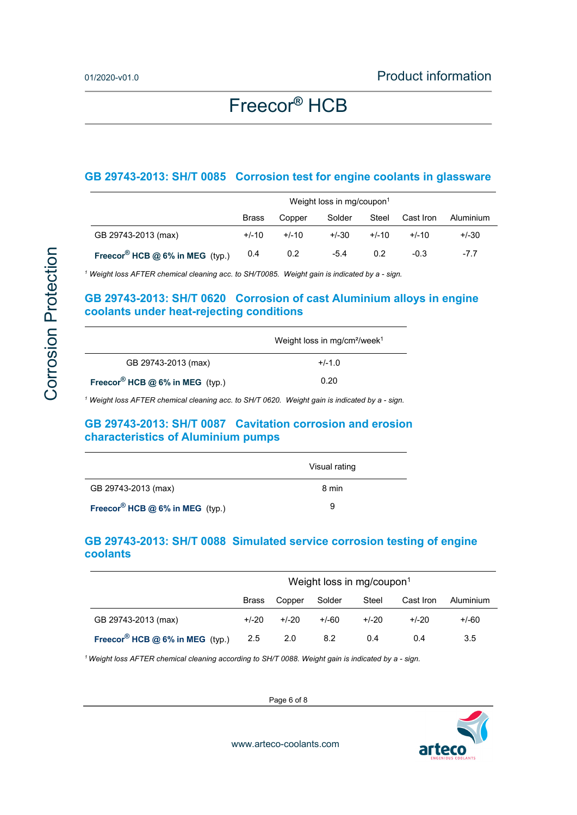#### **GB 29743-2013: SH/T 0085 Corrosion test for engine coolants in glassware**

|                                   | Weight loss in mg/coupon <sup>1</sup> |         |         |         |           |           |
|-----------------------------------|---------------------------------------|---------|---------|---------|-----------|-----------|
|                                   | <b>Brass</b>                          | Copper  | Solder  | Steel   | Cast Iron | Aluminium |
| GB 29743-2013 (max)               | $+/-10$                               | $+/-10$ | $+/-30$ | $+/-10$ | $+/-10$   | $+/-30$   |
| Freecor® HCB $@$ 6% in MEG (typ.) | 0.4                                   | 0.2     | $-5.4$  | 0.2     | $-0.3$    | $-7.7$    |

<sup>1</sup> Weight loss AFTER chemical cleaning acc. to SH/T0085. Weight gain is indicated by a - sign.

### **GB 29743-2013: SH/T 0620 Corrosion of cast Aluminium alloys in engine coolants under heat-rejecting conditions**

| Weight loss in mg/cm <sup>2</sup> /week <sup>1</sup> |
|------------------------------------------------------|
| $+/-1.0$                                             |
| 0.20                                                 |
|                                                      |

<sup>1</sup> Weight loss AFTER chemical cleaning acc. to SH/T 0620. Weight gain is indicated by a - sign.

#### **GB 29743-2013: SH/T 0087 Cavitation corrosion and erosion characteristics of Aluminium pumps**

|                                             | Visual rating |
|---------------------------------------------|---------------|
| GB 29743-2013 (max)                         | 8 min         |
| Freecor <sup>®</sup> HCB @ 6% in MEG (typ.) | a             |

### **GB 29743-2013: SH/T 0088 Simulated service corrosion testing of engine coolants**

|                                             | Weight loss in mg/coupon <sup>1</sup> |         |         |         |           |           |
|---------------------------------------------|---------------------------------------|---------|---------|---------|-----------|-----------|
|                                             | <b>Brass</b>                          | Copper  | Solder  | Steel   | Cast Iron | Aluminium |
| GB 29743-2013 (max)                         | $+/-20$                               | $+/-20$ | $+/-60$ | $+/-20$ | $+/-20$   | $+/-60$   |
| Freecor <sup>®</sup> HCB @ 6% in MEG (typ.) | 2.5                                   | 2.0     | 8.2     | 0.4     | 0.4       | 3.5       |

*1 Weight loss AFTER chemical cleaning according to SH/T 0088. Weight gain is indicated by a - sign.* 

Page 6 of 8

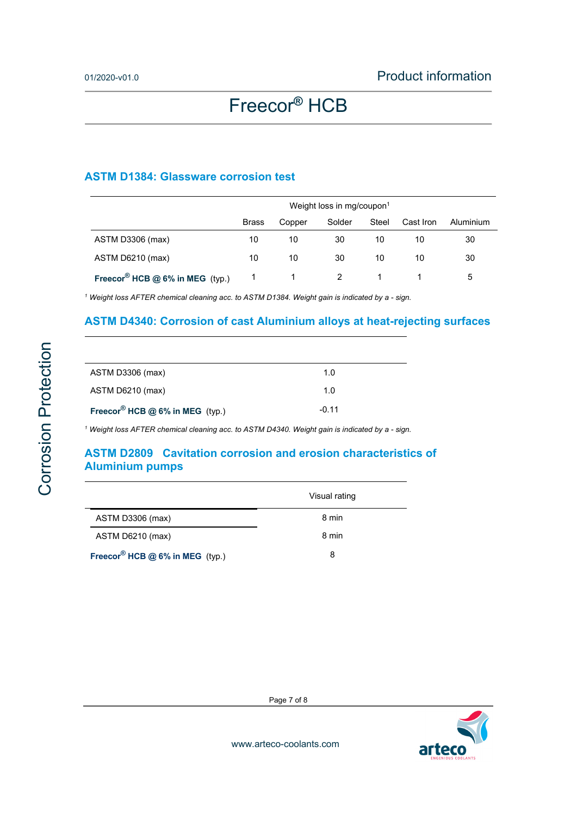#### **ASTM D1384: Glassware corrosion test**

|                                             | Weight loss in mg/coupon <sup>1</sup> |        |        |       |           |           |
|---------------------------------------------|---------------------------------------|--------|--------|-------|-----------|-----------|
|                                             | <b>Brass</b>                          | Copper | Solder | Steel | Cast Iron | Aluminium |
| ASTM D3306 (max)                            | 10                                    | 10     | 30     | 10    | 10        | 30        |
| ASTM D6210 (max)                            | 10                                    | 10     | 30     | 10    | 10        | 30        |
| Freecor <sup>®</sup> HCB @ 6% in MEG (typ.) |                                       |        |        |       |           | 5         |

<sup>1</sup> Weight loss AFTER chemical cleaning acc. to ASTM D1384. Weight gain is indicated by a - sign.

### **ASTM D4340: Corrosion of cast Aluminium alloys at heat-rejecting surfaces**

| ASTM D3306 (max)                            | 1.0     |
|---------------------------------------------|---------|
| ASTM D6210 (max)                            | 1.0     |
| Freecor <sup>®</sup> HCB @ 6% in MEG (typ.) | $-0.11$ |

<sup>1</sup> Weight loss AFTER chemical cleaning acc. to ASTM D4340. Weight gain is indicated by a - sign.

### **ASTM D2809 Cavitation corrosion and erosion characteristics of Aluminium pumps**

|                                             | Visual rating |
|---------------------------------------------|---------------|
| ASTM D3306 (max)                            | 8 min         |
| ASTM D6210 (max)                            | 8 min         |
| Freecor <sup>®</sup> HCB @ 6% in MEG (typ.) | 8             |

arteco

Page 7 of 8